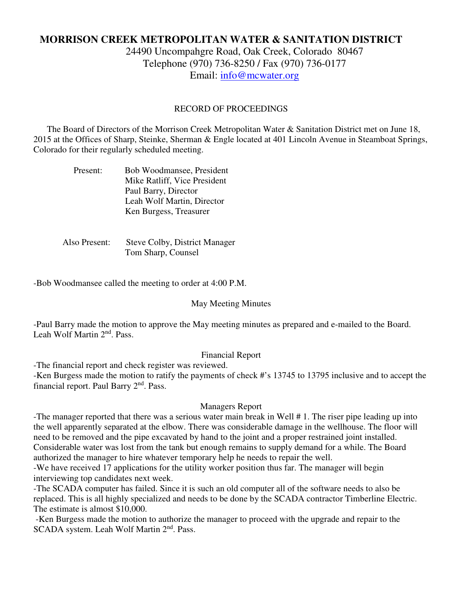# **MORRISON CREEK METROPOLITAN WATER & SANITATION DISTRICT**

24490 Uncompahgre Road, Oak Creek, Colorado 80467 Telephone (970) 736-8250 / Fax (970) 736-0177 Email: info@mcwater.org

#### RECORD OF PROCEEDINGS

 The Board of Directors of the Morrison Creek Metropolitan Water & Sanitation District met on June 18, 2015 at the Offices of Sharp, Steinke, Sherman & Engle located at 401 Lincoln Avenue in Steamboat Springs, Colorado for their regularly scheduled meeting.

| Present: | Bob Woodmansee, President    |
|----------|------------------------------|
|          | Mike Ratliff, Vice President |
|          | Paul Barry, Director         |
|          | Leah Wolf Martin, Director   |
|          | Ken Burgess, Treasurer       |

 Also Present: Steve Colby, District Manager Tom Sharp, Counsel

-Bob Woodmansee called the meeting to order at 4:00 P.M.

#### May Meeting Minutes

-Paul Barry made the motion to approve the May meeting minutes as prepared and e-mailed to the Board. Leah Wolf Martin 2nd. Pass.

#### Financial Report

-The financial report and check register was reviewed.

-Ken Burgess made the motion to ratify the payments of check #'s 13745 to 13795 inclusive and to accept the financial report. Paul Barry  $2<sup>nd</sup>$ . Pass.

#### Managers Report

-The manager reported that there was a serious water main break in Well # 1. The riser pipe leading up into the well apparently separated at the elbow. There was considerable damage in the wellhouse. The floor will need to be removed and the pipe excavated by hand to the joint and a proper restrained joint installed. Considerable water was lost from the tank but enough remains to supply demand for a while. The Board authorized the manager to hire whatever temporary help he needs to repair the well.

-We have received 17 applications for the utility worker position thus far. The manager will begin interviewing top candidates next week.

-The SCADA computer has failed. Since it is such an old computer all of the software needs to also be replaced. This is all highly specialized and needs to be done by the SCADA contractor Timberline Electric. The estimate is almost \$10,000.

 -Ken Burgess made the motion to authorize the manager to proceed with the upgrade and repair to the SCADA system. Leah Wolf Martin 2<sup>nd</sup>. Pass.